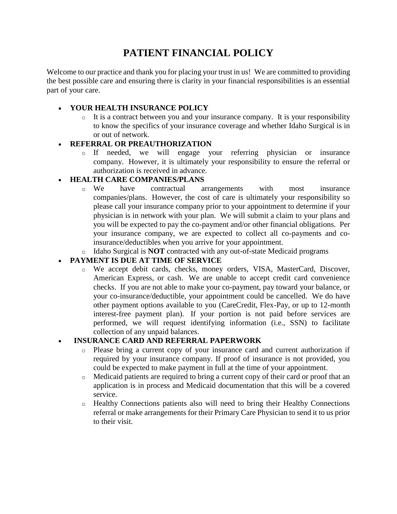# **PATIENT FINANCIAL POLICY**

Welcome to our practice and thank you for placing your trust in us! We are committed to providing the best possible care and ensuring there is clarity in your financial responsibilities is an essential part of your care.

## **YOUR HEALTH INSURANCE POLICY**

o It is a contract between you and your insurance company. It is your responsibility to know the specifics of your insurance coverage and whether Idaho Surgical is in or out of network.

### **REFERRAL OR PREAUTHORIZATION**

o If needed, we will engage your referring physician or insurance company. However, it is ultimately your responsibility to ensure the referral or authorization is received in advance.

## **HEALTH CARE COMPANIES/PLANS**

- o We have contractual arrangements with most insurance companies/plans. However, the cost of care is ultimately your responsibility so please call your insurance company prior to your appointment to determine if your physician is in network with your plan. We will submit a claim to your plans and you will be expected to pay the co-payment and/or other financial obligations. Per your insurance company, we are expected to collect all co-payments and coinsurance/deductibles when you arrive for your appointment.
- o Idaho Surgical is **NOT** contracted with any out-of-state Medicaid programs

## **PAYMENT IS DUE AT TIME OF SERVICE**

o We accept debit cards, checks, money orders, VISA, MasterCard, Discover, American Express, or cash. We are unable to accept credit card convenience checks. If you are not able to make your co-payment, pay toward your balance, or your co-insurance/deductible, your appointment could be cancelled. We do have other payment options available to you (CareCredit, Flex-Pay, or up to 12-month interest-free payment plan). If your portion is not paid before services are performed, we will request identifying information (i.e., SSN) to facilitate collection of any unpaid balances.

### **INSURANCE CARD AND REFERRAL PAPERWORK**

- o Please bring a current copy of your insurance card and current authorization if required by your insurance company. If proof of insurance is not provided, you could be expected to make payment in full at the time of your appointment.
- o Medicaid patients are required to bring a current copy of their card or proof that an application is in process and Medicaid documentation that this will be a covered service.
- o Healthy Connections patients also will need to bring their Healthy Connections referral or make arrangements for their Primary Care Physician to send it to us prior to their visit.